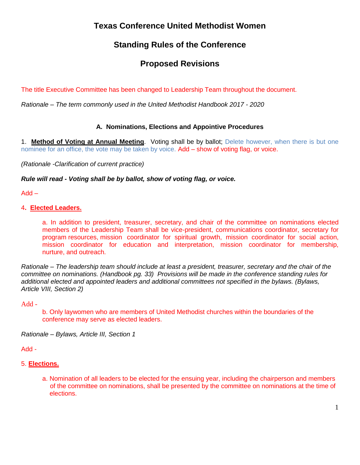# **Texas Conference United Methodist Women**

# **Standing Rules of the Conference**

# **Proposed Revisions**

The title Executive Committee has been changed to Leadership Team throughout the document.

*Rationale – The term commonly used in the United Methodist Handbook 2017 - 2020*

# **A. Nominations, Elections and Appointive Procedures**

1. **Method of Voting at Annual Meeting**. Voting shall be by ballot; Delete however, when there is but one nominee for an office, the vote may be taken by voice. Add – show of voting flag, or voice.

*(Rationale -Clarification of current practice)*

## *Rule will read - Voting shall be by ballot, show of voting flag, or voice.*

Add –

## 4**. Elected Leaders.**

a. In addition to president, treasurer, secretary, and chair of the committee on nominations elected members of the Leadership Team shall be vice-president, communications coordinator, secretary for program resources, mission coordinator for spiritual growth, mission coordinator for social action, mission coordinator for education and interpretation, mission coordinator for membership, nurture, and outreach.

*Rationale – The leadership team should include at least a president, treasurer, secretary and the chair of the committee on nominations. (Handbook pg. 33) Provisions will be made in the conference standing rules for additional elected and appointed leaders and additional committees not specified in the bylaws. (Bylaws, Article VIII, Section 2)* 

#### Add -

b. Only laywomen who are members of United Methodist churches within the boundaries of the conference may serve as elected leaders.

*Rationale – Bylaws, Article III, Section 1*

Add -

#### 5. **Elections.**

a. Nomination of all leaders to be elected for the ensuing year, including the chairperson and members of the committee on nominations, shall be presented by the committee on nominations at the time of elections.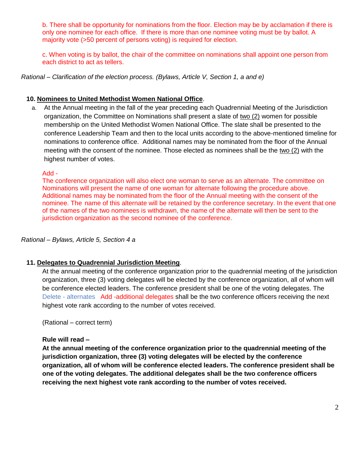b. There shall be opportunity for nominations from the floor. Election may be by acclamation if there is only one nominee for each office. If there is more than one nominee voting must be by ballot. A majority vote (>50 percent of persons voting) is required for election.

c. When voting is by ballot, the chair of the committee on nominations shall appoint one person from each district to act as tellers.

*Rational – Clarification of the election process. (Bylaws, Article V, Section 1, a and e)*

# **10. Nominees to United Methodist Women National Office**.

a. At the Annual meeting in the fall of the year preceding each Quadrennial Meeting of the Jurisdiction organization, the Committee on Nominations shall present a slate of two (2) women for possible membership on the United Methodist Women National Office. The slate shall be presented to the conference Leadership Team and then to the local units according to the above-mentioned timeline for nominations to conference office. Additional names may be nominated from the floor of the Annual meeting with the consent of the nominee. Those elected as nominees shall be the two (2) with the highest number of votes.

## Add -

The conference organization will also elect one woman to serve as an alternate. The committee on Nominations will present the name of one woman for alternate following the procedure above. Additional names may be nominated from the floor of the Annual meeting with the consent of the nominee. The name of this alternate will be retained by the conference secretary. In the event that one of the names of the two nominees is withdrawn, the name of the alternate will then be sent to the jurisdiction organization as the second nominee of the conference.

### *Rational – Bylaws, Article 5, Section 4 a*

## **11. Delegates to Quadrennial Jurisdiction Meeting**.

At the annual meeting of the conference organization prior to the quadrennial meeting of the jurisdiction organization, three (3) voting delegates will be elected by the conference organization, all of whom will be conference elected leaders. The conference president shall be one of the voting delegates. The Delete - alternates Add -additional delegates shall be the two conference officers receiving the next highest vote rank according to the number of votes received.

(Rational – correct term)

#### **Rule will read –**

**At the annual meeting of the conference organization prior to the quadrennial meeting of the jurisdiction organization, three (3) voting delegates will be elected by the conference organization, all of whom will be conference elected leaders. The conference president shall be one of the voting delegates. The additional delegates shall be the two conference officers receiving the next highest vote rank according to the number of votes received.**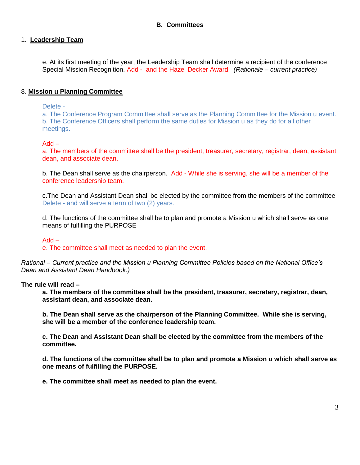## **B. Committees**

### 1. **Leadership Team**

e. At its first meeting of the year, the Leadership Team shall determine a recipient of the conference Special Mission Recognition. Add - and the Hazel Decker Award. *(Rationale – current practice)*

## 8. **Mission u Planning Committee**

Delete -

a. The Conference Program Committee shall serve as the Planning Committee for the Mission u event. b. The Conference Officers shall perform the same duties for Mission u as they do for all other meetings.

#### Add –

a. The members of the committee shall be the president, treasurer, secretary, registrar, dean, assistant dean, and associate dean.

b. The Dean shall serve as the chairperson. Add - While she is serving, she will be a member of the conference leadership team.

c.The Dean and Assistant Dean shall be elected by the committee from the members of the committee Delete - and will serve a term of two (2) years.

d. The functions of the committee shall be to plan and promote a Mission u which shall serve as one means of fulfilling the PURPOSE

#### Add –

e. The committee shall meet as needed to plan the event.

*Rational – Current practice and the Mission u Planning Committee Policies based on the National Office's Dean and Assistant Dean Handbook.)* 

#### **The rule will read –**

**a. The members of the committee shall be the president, treasurer, secretary, registrar, dean, assistant dean, and associate dean.**

**b. The Dean shall serve as the chairperson of the Planning Committee. While she is serving, she will be a member of the conference leadership team.**

**c. The Dean and Assistant Dean shall be elected by the committee from the members of the committee.** 

**d. The functions of the committee shall be to plan and promote a Mission u which shall serve as one means of fulfilling the PURPOSE.**

**e. The committee shall meet as needed to plan the event.**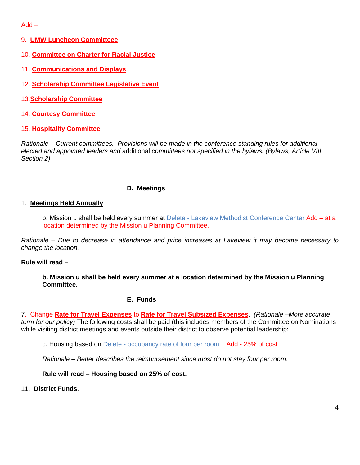Add –

- 9. **UMW Luncheon Committeee**
- 10. **Committee on Charter for Racial Justice**
- 11. **Communications and Displays**
- 12. **Scholarship Committee Legislative Event**
- 13.**Scholarship Committee**
- 14. **Courtesy Committee**
- 15. **Hospitality Committee**

*Rationale – Current committees. Provisions will be made in the conference standing rules for additional elected and appointed leaders and* additional *committees not specified in the bylaws. (Bylaws, Article VIII, Section 2)* 

## **D. Meetings**

## 1. **Meetings Held Annually**

b. Mission u shall be held every summer at Delete - Lakeview Methodist Conference Center Add - at a location determined by the Mission u Planning Committee.

*Rationale – Due to decrease in attendance and price increases at Lakeview it may become necessary to change the location.*

#### **Rule will read –**

**b. Mission u shall be held every summer at a location determined by the Mission u Planning Committee.**

#### **E. Funds**

7. Change **Rate for Travel Expenses** to **Rate for Travel Subsized Expenses**. *(Rationale –More accurate term for our policy)* The following costs shall be paid (this includes members of the Committee on Nominations while visiting district meetings and events outside their district to observe potential leadership:

c. Housing based on Delete - occupancy rate of four per room Add - 25% of cost

*Rationale – Better describes the reimbursement since most do not stay four per room.*

**Rule will read – Housing based on 25% of cost.** 

11. **District Funds**.